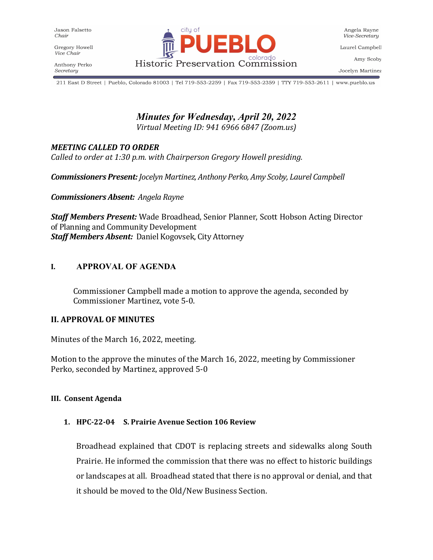Gregory Howell Vice Chair

Anthony Perko Secretary



Laurel Campbell

Amy Scoby

Jocelyn Martinez

211 East D Street | Pueblo, Colorado 81003 | Tel 719-553-2259 | Fax 719-553-2359 | TTY 719-553-2611 | www.pueblo.us

# *Minutes for Wednesday, April 20, 2022*

*Virtual Meeting ID: 941 6966 6847 (Zoom.us)*

### *MEETING CALLED TO ORDER*

*Called to order at 1:30 p.m. with Chairperson Gregory Howell presiding.*

*Commissioners Present: Jocelyn Martinez, Anthony Perko, Amy Scoby, Laurel Campbell*

*Commissioners Absent: Angela Rayne*

*Staff Members Present:* Wade Broadhead, Senior Planner, Scott Hobson Acting Director of Planning and Community Development *Staff Members Absent:* Daniel Kogovsek, City Attorney

#### **I. APPROVAL OF AGENDA**

Commissioner Campbell made a motion to approve the agenda, seconded by Commissioner Martinez, vote 5-0.

#### **II. APPROVAL OF MINUTES**

Minutes of the March 16, 2022, meeting.

Motion to the approve the minutes of the March 16, 2022, meeting by Commissioner Perko, seconded by Martinez, approved 5-0

#### **III. Consent Agenda**

#### **1. HPC-22-04 S. Prairie Avenue Section 106 Review**

Broadhead explained that CDOT is replacing streets and sidewalks along South Prairie. He informed the commission that there was no effect to historic buildings or landscapes at all. Broadhead stated that there is no approval or denial, and that it should be moved to the Old/New Business Section.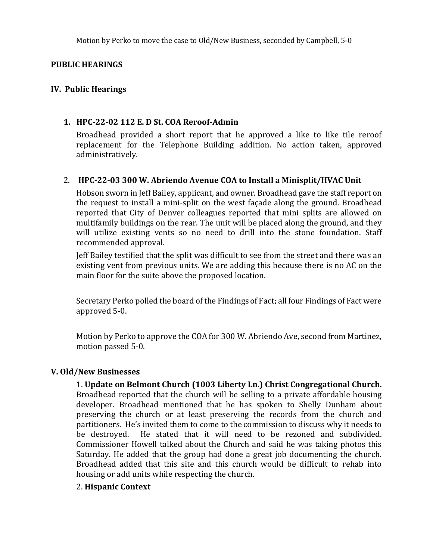#### **PUBLIC HEARINGS**

#### **IV. Public Hearings**

#### **1. HPC-22-02 112 E. D St. COA Reroof-Admin**

Broadhead provided a short report that he approved a like to like tile reroof replacement for the Telephone Building addition. No action taken, approved administratively.

#### 2. **HPC-22-03 300 W. Abriendo Avenue COA to Install a Minisplit/HVAC Unit**

Hobson sworn in Jeff Bailey, applicant, and owner. Broadhead gave the staff report on the request to install a mini-split on the west façade along the ground. Broadhead reported that City of Denver colleagues reported that mini splits are allowed on multifamily buildings on the rear. The unit will be placed along the ground, and they will utilize existing vents so no need to drill into the stone foundation. Staff recommended approval.

Jeff Bailey testified that the split was difficult to see from the street and there was an existing vent from previous units. We are adding this because there is no AC on the main floor for the suite above the proposed location.

Secretary Perko polled the board of the Findings of Fact; all four Findings of Fact were approved 5-0.

Motion by Perko to approve the COA for 300 W. Abriendo Ave, second from Martinez, motion passed 5-0.

#### **V. Old/New Businesses**

1. **Update on Belmont Church (1003 Liberty Ln.) Christ Congregational Church.** Broadhead reported that the church will be selling to a private affordable housing developer. Broadhead mentioned that he has spoken to Shelly Dunham about preserving the church or at least preserving the records from the church and partitioners. He's invited them to come to the commission to discuss why it needs to be destroyed. He stated that it will need to be rezoned and subdivided. Commissioner Howell talked about the Church and said he was taking photos this Saturday. He added that the group had done a great job documenting the church. Broadhead added that this site and this church would be difficult to rehab into housing or add units while respecting the church.

#### 2. **Hispanic Context**